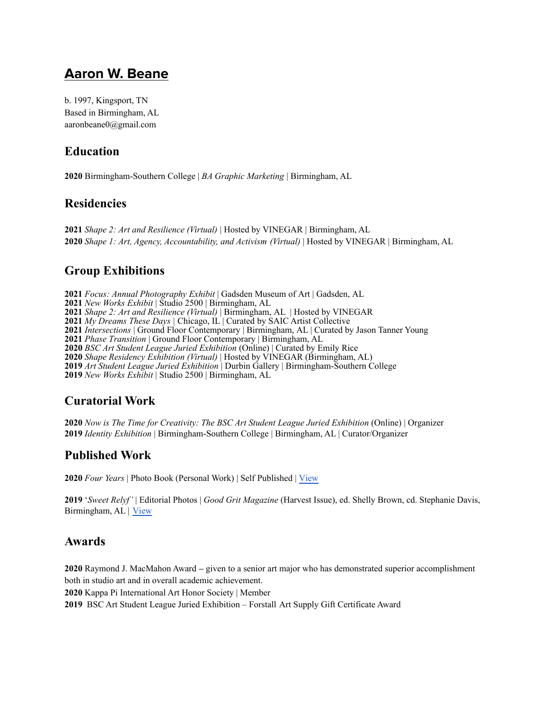# **Aaron W. Beane**

b. 1997, Kingsport, TN Based in Birmingham, AL aaronbeane0@gmail.com

# **Education**

Birmingham-Southern College | *BA Graphic Marketing* | Birmingham, AL

# **Residencies**

 *Shape 2: Art and Resilience (Virtual)* | Hosted by VINEGAR | Birmingham, AL *Shape 1: Art, Agency, Accountability, and Activism (Virtual)* | Hosted by VINEGAR | Birmingham, AL

# **Group Exhibitions**

*Focus: Annual Photography Exhibit* | Gadsden Museum of Art | Gadsden, AL *New Works Exhibit* | Studio 2500 | Birmingham, AL *Shape 2: Art and Resilience (Virtual)* | Birmingham, AL | Hosted by VINEGAR *My Dreams These Days |* Chicago, IL | Curated by SAIC Artist Collective *Intersections* | Ground Floor Contemporary | Birmingham, AL | Curated by Jason Tanner Young *Phase Transition* | Ground Floor Contemporary | Birmingham, AL *BSC Art Student League Juried Exhibition* (Online) | Curated by Emily Rice *Shape Residency Exhibition (Virtual)* | Hosted by VINEGAR (Birmingham, AL) *Art Student League Juried Exhibition* | Durbin Gallery | Birmingham-Southern College *New Works Exhibit* | Studio 2500 | Birmingham, AL

# **Curatorial Work**

 *Now is The Time for Creativity: The BSC Art Student League Juried Exhibition* (Online) | Organizer *Identity Exhibition* | Birmingham-Southern College | Birmingham, AL | Curator/Organizer

# **Published Work**

*Four Years* | Photo Book (Personal Work) | Self Published | [View](https://aaronbeane1.wixsite.com/abphoto/four-years-book)

 '*Sweet Relyf'* | Editorial Photos | *Good Grit Magazine* (Harvest Issue), ed. Shelly Brown, cd. Stephanie Davis, Birmingham, AL | [View](https://goodgritmag.com/products/harvest-2019-september-october-single-issue)

# **Awards**

 Raymond J. MacMahon Award **–** given to a senior art major who has demonstrated superior accomplishment both in studio art and in overall academic achievement.

Kappa Pi International Art Honor Society | Member

BSC Art Student League Juried Exhibition – Forstall Art Supply Gift Certificate Award